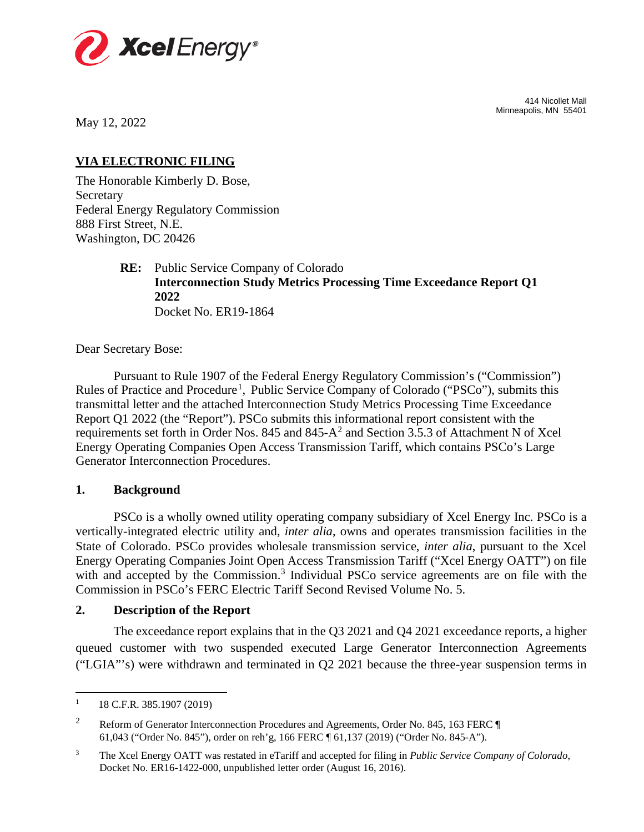

414 Nicollet Mall Minneapolis, MN 55401

May 12, 2022

# **VIA ELECTRONIC FILING**

The Honorable Kimberly D. Bose, Secretary Federal Energy Regulatory Commission 888 First Street, N.E. Washington, DC 20426

> **RE:** Public Service Company of Colorado **Interconnection Study Metrics Processing Time Exceedance Report Q1 2022** Docket No. ER19-1864

Dear Secretary Bose:

Rules of Practice and Procedure<sup>[1](#page-0-0)</sup>, Public Service Company of Colorado ("PSCo"), submits this requirements set forth in Order Nos. 845 and 845- $A^2$  $A^2$  and Section 3.5.3 of Attachment N of Xcel Pursuant to Rule 1907 of the Federal Energy Regulatory Commission's ("Commission") transmittal letter and the attached Interconnection Study Metrics Processing Time Exceedance Report Q1 2022 (the "Report"). PSCo submits this informational report consistent with the Energy Operating Companies Open Access Transmission Tariff, which contains PSCo's Large Generator Interconnection Procedures.

## **1. Background**

PSCo is a wholly owned utility operating company subsidiary of Xcel Energy Inc. PSCo is a vertically-integrated electric utility and, *inter alia*, owns and operates transmission facilities in the State of Colorado. PSCo provides wholesale transmission service, *inter alia*, pursuant to the Xcel Energy Operating Companies Joint Open Access Transmission Tariff ("Xcel Energy OATT") on file with and accepted by the Commission.<sup>[3](#page-0-2)</sup> Individual PSCo service agreements are on file with the Commission in PSCo's FERC Electric Tariff Second Revised Volume No. 5.

## **2. Description of the Report**

The exceedance report explains that in the Q3 2021 and Q4 2021 exceedance reports, a higher queued customer with two suspended executed Large Generator Interconnection Agreements ("LGIA"'s) were withdrawn and terminated in Q2 2021 because the three-year suspension terms in

<span id="page-0-0"></span> $1 \qquad 18$  C.F.R. 385.1907 (2019)

<span id="page-0-1"></span><sup>&</sup>lt;sup>2</sup> Reform of Generator Interconnection Procedures and Agreements, Order No. 845, 163 FERC ¶ 61,043 ("Order No. 845"), order on reh'g, 166 FERC ¶ 61,137 (2019) ("Order No. 845-A").

<span id="page-0-2"></span><sup>3</sup> The Xcel Energy OATT was restated in eTariff and accepted for filing in *Public Service Company of Colorado*, Docket No. ER16-1422-000, unpublished letter order (August 16, 2016).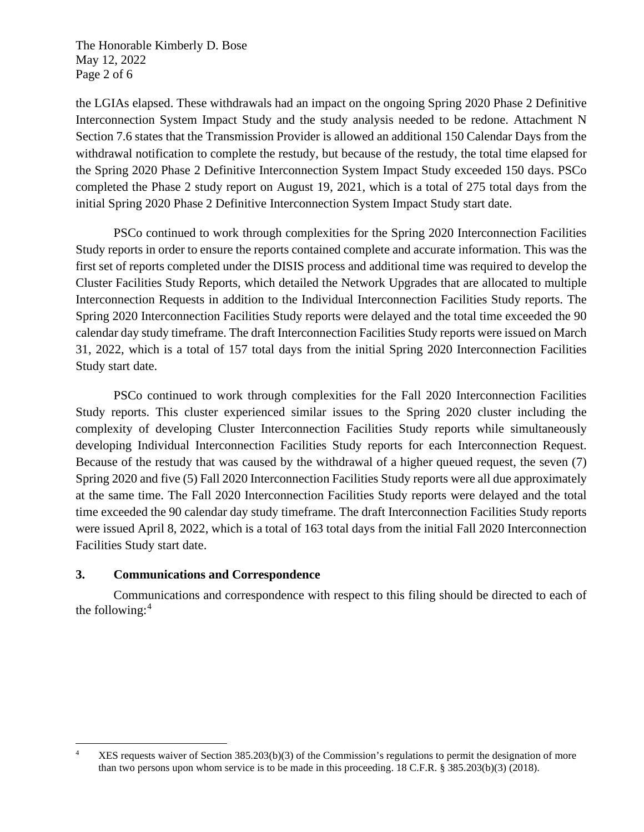The Honorable Kimberly D. Bose May 12, 2022 Page 2 of 6

the LGIAs elapsed. These withdrawals had an impact on the ongoing Spring 2020 Phase 2 Definitive Interconnection System Impact Study and the study analysis needed to be redone. Attachment N Section 7.6 states that the Transmission Provider is allowed an additional 150 Calendar Days from the withdrawal notification to complete the restudy, but because of the restudy, the total time elapsed for the Spring 2020 Phase 2 Definitive Interconnection System Impact Study exceeded 150 days. PSCo completed the Phase 2 study report on August 19, 2021, which is a total of 275 total days from the initial Spring 2020 Phase 2 Definitive Interconnection System Impact Study start date.

PSCo continued to work through complexities for the Spring 2020 Interconnection Facilities Study reports in order to ensure the reports contained complete and accurate information. This was the first set of reports completed under the DISIS process and additional time was required to develop the Cluster Facilities Study Reports, which detailed the Network Upgrades that are allocated to multiple Interconnection Requests in addition to the Individual Interconnection Facilities Study reports. The Spring 2020 Interconnection Facilities Study reports were delayed and the total time exceeded the 90 calendar day study timeframe. The draft Interconnection Facilities Study reports were issued on March 31, 2022, which is a total of 157 total days from the initial Spring 2020 Interconnection Facilities Study start date.

PSCo continued to work through complexities for the Fall 2020 Interconnection Facilities Study reports. This cluster experienced similar issues to the Spring 2020 cluster including the complexity of developing Cluster Interconnection Facilities Study reports while simultaneously developing Individual Interconnection Facilities Study reports for each Interconnection Request. Because of the restudy that was caused by the withdrawal of a higher queued request, the seven (7) Spring 2020 and five (5) Fall 2020 Interconnection Facilities Study reports were all due approximately at the same time. The Fall 2020 Interconnection Facilities Study reports were delayed and the total time exceeded the 90 calendar day study timeframe. The draft Interconnection Facilities Study reports were issued April 8, 2022, which is a total of 163 total days from the initial Fall 2020 Interconnection Facilities Study start date.

# **3. Communications and Correspondence**

Communications and correspondence with respect to this filing should be directed to each of the following:[4](#page-1-0)

<span id="page-1-0"></span><sup>&</sup>lt;sup>4</sup> XES requests waiver of Section  $385.203(b)(3)$  of the Commission's regulations to permit the designation of more than two persons upon whom service is to be made in this proceeding. 18 C.F.R. § 385.203(b)(3) (2018).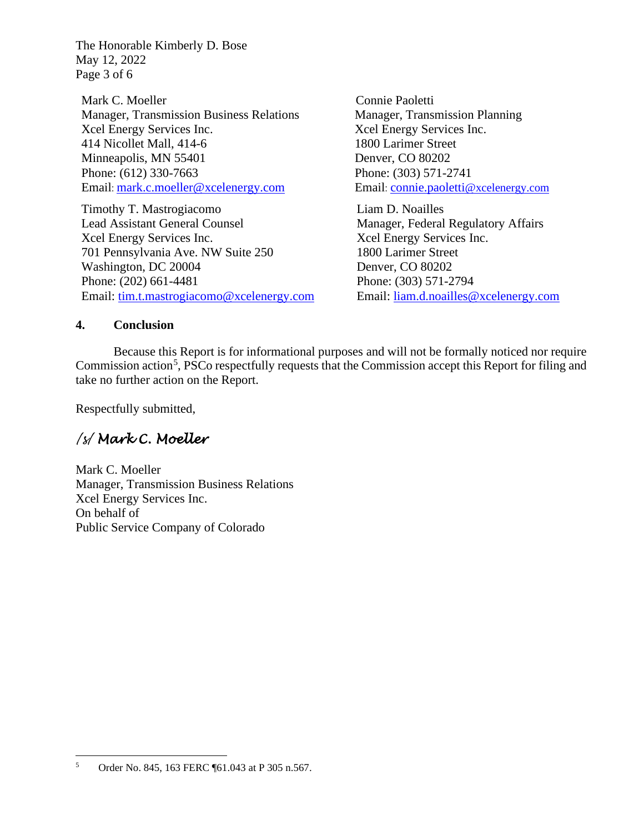The Honorable Kimberly D. Bose May 12, 2022 Page 3 of 6

Mark C. Moeller Manager, Transmission Business Relations Xcel Energy Services Inc. 414 Nicollet Mall, 414-6 Minneapolis, MN 55401 Phone: (612) 330-7663 Email: [mark.c.moeller@xcelenergy.com](mailto:mark.c.moeller@xcelenergy.com)

Timothy T. Mastrogiacomo Lead Assistant General Counsel Xcel Energy Services Inc. 701 Pennsylvania Ave. NW Suite 250 Washington, DC 20004 Phone: (202) 661-4481 Email: [tim.t.mastrogiacomo@xcelenergy.com](mailto:tim.t.mastrogiacomo@xcelenergy.com)

Connie Paoletti Manager, Transmission Planning Xcel Energy Services Inc. 1800 Larimer Street Denver, CO 80202 Phone: (303) 571-2741 Email: [connie.paoletti@xcelenergy.com](mailto:connie.paoletti@xcelenergy.com)

Liam D. Noailles Manager, Federal Regulatory Affairs Xcel Energy Services Inc. 1800 Larimer Street Denver, CO 80202 Phone: (303) 571-2794 Email: [liam.d.noailles@xcelenergy.com](mailto:liam.d.noailles@xcelenergy.com)

## **4. Conclusion**

Because this Report is for informational purposes and will not be formally noticed nor require Commission action<sup>[5](#page-2-0)</sup>, PSCo respectfully requests that the Commission accept this Report for filing and take no further action on the Report.

Respectfully submitted,

# */s/ Mark C. Moeller*

Mark C. Moeller Manager, Transmission Business Relations Xcel Energy Services Inc. On behalf of Public Service Company of Colorado

<span id="page-2-0"></span><sup>5</sup> Order No. 845, 163 FERC ¶61.043 at P 305 n.567.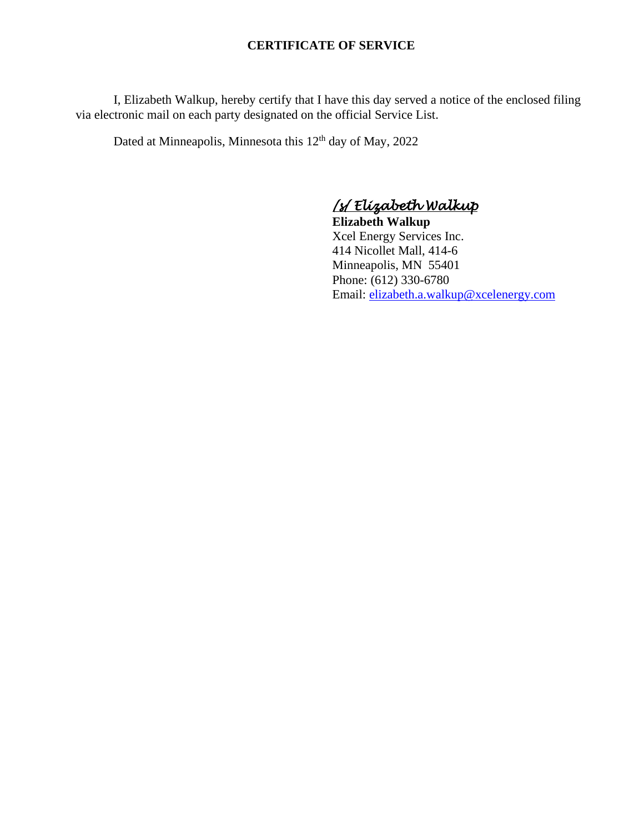## **CERTIFICATE OF SERVICE**

I, Elizabeth Walkup, hereby certify that I have this day served a notice of the enclosed filing via electronic mail on each party designated on the official Service List.

Dated at Minneapolis, Minnesota this 12<sup>th</sup> day of May, 2022

*/s/ Elizabeth Walkup* 

**Elizabeth Walkup** Xcel Energy Services Inc. 414 Nicollet Mall, 414-6 Minneapolis, MN 55401 Phone: (612) 330-6780 Email: [elizabeth.a.walkup@xcelenergy.com](mailto:elizabeth.a.walkup@xcelenergy.com)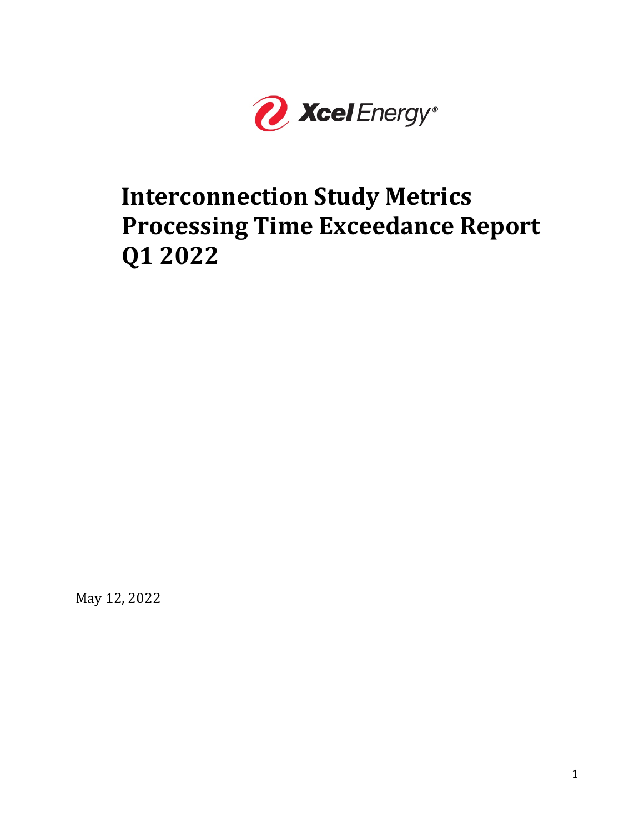

# **Interconnection Study Metrics Processing Time Exceedance Report Q1 2022**

May 12, 2022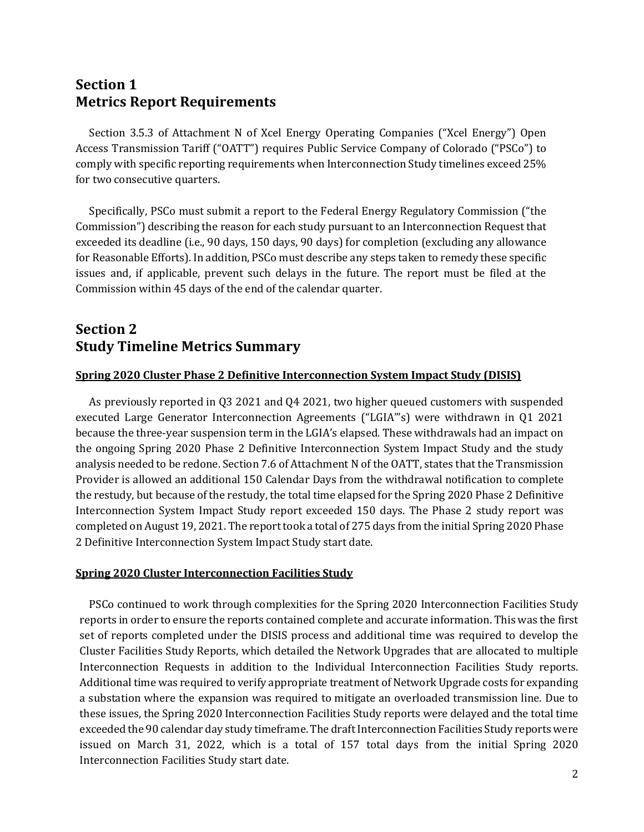# **Section 1 Metrics Report Requirements**

Section 3.5.3 of Attachment N of Xcel Energy Operating Companies ("Xcel Energy") Open Access Transmission Tariff ("OATT") requires Public Service Company of Colorado ("PSCo") to comply with specific reporting requirements when Interconnection Study timelines exceed 25% for two consecutive quarters.

Specifically, PSCo must submit a report to the Federal Energy Regulatory Commission ("the Commission") describing the reason for each study pursuant to an Interconnection Request that exceeded its deadline (i.e., 90 days, 150 days, 90 days) for completion (excluding any allowance for Reasonable Efforts). In addition, PSCo must describe any steps taken to remedy these specific issues and, if applicable, prevent such delays in the future. The report must be filed at the Commission within 45 days of the end of the calendar quarter.

# **Section 2 Study Timeline Metrics Summary**

### **Spring 2020 Cluster Phase 2 Definitive Interconnection System Impact Study (DISIS)**

As previously reported in Q3 2021 and Q4 2021, two higher queued customers with suspended executed Large Generator Interconnection Agreements ("LGIA"'s) were withdrawn in Q1 2021 because the three-year suspension term in the LGIA's elapsed. These withdrawals had an impact on the ongoing Spring 2020 Phase 2 Definitive Interconnection System Impact Study and the study analysis needed to be redone. Section 7.6 of Attachment N of the OATT, states that the Transmission Provider is allowed an additional 150 Calendar Days from the withdrawal notification to complete the restudy, but because of the restudy, the total time elapsed for the Spring 2020 Phase 2 Definitive Interconnection System Impact Study report exceeded 150 days. The Phase 2 study report was completed on August 19, 2021. The report took a total of 275 days from the initial Spring 2020 Phase 2 Definitive Interconnection System Impact Study start date.

### **Spring 2020 Cluster Interconnection Facilities Study**

PSCo continued to work through complexities for the Spring 2020 Interconnection Facilities Study reports in order to ensure the reports contained complete and accurate information. This was the first set of reports completed under the DISIS process and additional time was required to develop the Cluster Facilities Study Reports, which detailed the Network Upgrades that are allocated to multiple Interconnection Requests in addition to the Individual Interconnection Facilities Study reports. Additional time was required to verify appropriate treatment of Network Upgrade costs for expanding a substation where the expansion was required to mitigate an overloaded transmission line. Due to these issues, the Spring 2020 Interconnection Facilities Study reports were delayed and the total time exceeded the 90 calendar day study timeframe. The draft Interconnection Facilities Study reports were issued on March 31, 2022, which is a total of 157 total days from the initial Spring 2020 Interconnection Facilities Study start date.